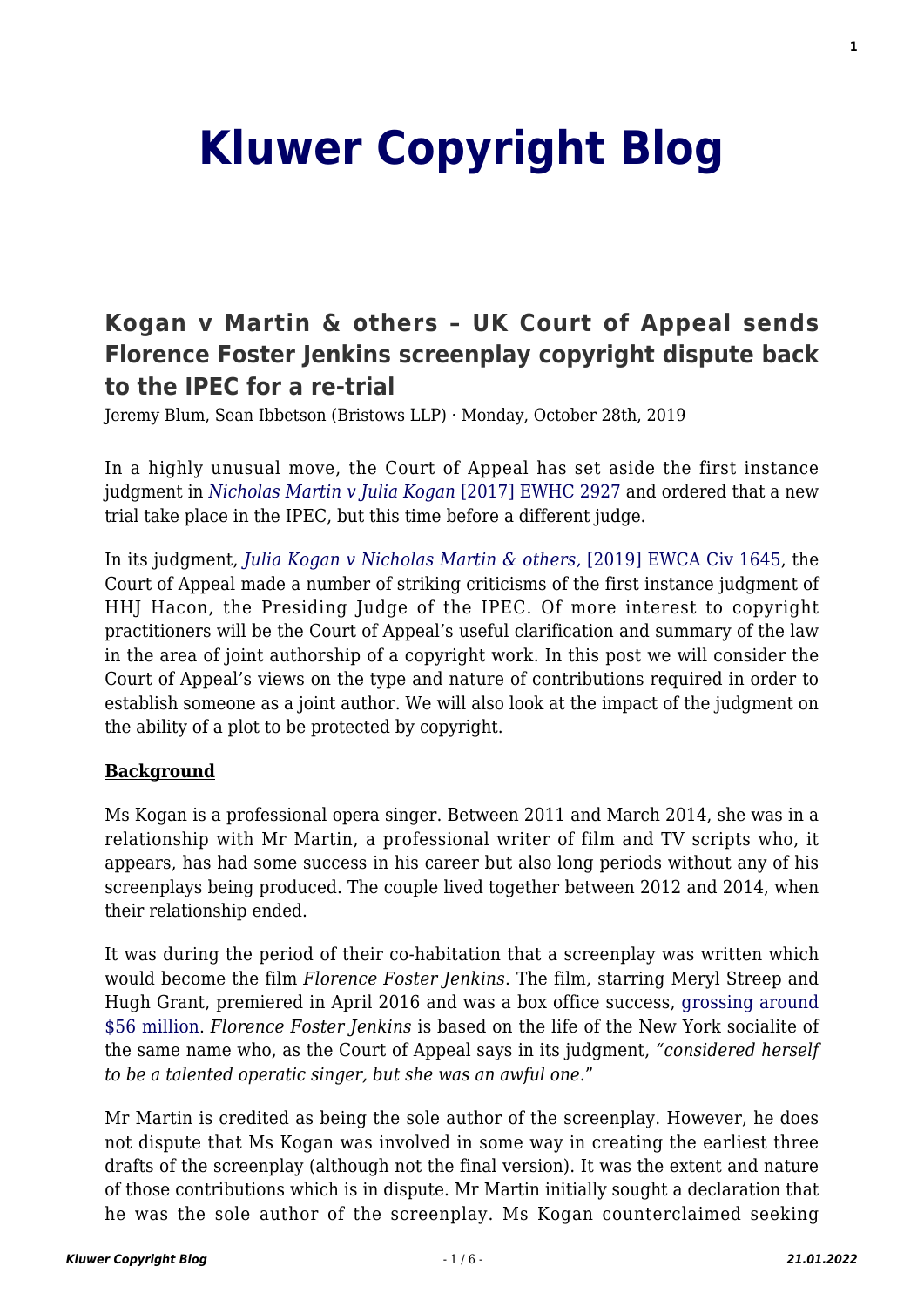# **[Kluwer Copyright Blog](http://copyrightblog.kluweriplaw.com/)**

## **[Kogan v Martin & others – UK Court of Appeal sends](http://copyrightblog.kluweriplaw.com/2019/10/28/kogan-v-martin-others-uk-court-of-appeal-sends-florence-foster-jenkins-screenplay-copyright-dispute-back-to-the-ipec-for-a-re-trial/) [Florence Foster Jenkins screenplay copyright dispute back](http://copyrightblog.kluweriplaw.com/2019/10/28/kogan-v-martin-others-uk-court-of-appeal-sends-florence-foster-jenkins-screenplay-copyright-dispute-back-to-the-ipec-for-a-re-trial/) [to the IPEC for a re-trial](http://copyrightblog.kluweriplaw.com/2019/10/28/kogan-v-martin-others-uk-court-of-appeal-sends-florence-foster-jenkins-screenplay-copyright-dispute-back-to-the-ipec-for-a-re-trial/)**

Jeremy Blum, Sean Ibbetson (Bristows LLP) · Monday, October 28th, 2019

In a highly unusual move, the Court of Appeal has set aside the first instance judgment in *[Nicholas Martin v Julia Kogan](https://www.bailii.org/ew/cases/EWHC/IPEC/2017/2927.html)* [\[2017\] EWHC 2927](https://www.bailii.org/ew/cases/EWHC/IPEC/2017/2927.html) and ordered that a new trial take place in the IPEC, but this time before a different judge.

In its judgment, *[Julia Kogan v Nicholas Martin & others,](https://www.bailii.org/ew/cases/EWCA/Civ/2019/1645.html)* [\[2019\] EWCA Civ 1645](https://www.bailii.org/ew/cases/EWCA/Civ/2019/1645.html), the Court of Appeal made a number of striking criticisms of the first instance judgment of HHJ Hacon, the Presiding Judge of the IPEC. Of more interest to copyright practitioners will be the Court of Appeal's useful clarification and summary of the law in the area of joint authorship of a copyright work. In this post we will consider the Court of Appeal's views on the type and nature of contributions required in order to establish someone as a joint author. We will also look at the impact of the judgment on the ability of a plot to be protected by copyright.

#### **Background**

Ms Kogan is a professional opera singer. Between 2011 and March 2014, she was in a relationship with Mr Martin, a professional writer of film and TV scripts who, it appears, has had some success in his career but also long periods without any of his screenplays being produced. The couple lived together between 2012 and 2014, when their relationship ended.

It was during the period of their co-habitation that a screenplay was written which would become the film *Florence Foster Jenkins*. The film, starring Meryl Streep and Hugh Grant, premiered in April 2016 and was a box office success, [grossing around](https://www.the-numbers.com/movie/Florence-Foster-Jenkins#tab=summary) [\\$56 million.](https://www.the-numbers.com/movie/Florence-Foster-Jenkins#tab=summary) *Florence Foster Jenkins* is based on the life of the New York socialite of the same name who, as the Court of Appeal says in its judgment, *"considered herself to be a talented operatic singer, but she was an awful one.*"

Mr Martin is credited as being the sole author of the screenplay. However, he does not dispute that Ms Kogan was involved in some way in creating the earliest three drafts of the screenplay (although not the final version). It was the extent and nature of those contributions which is in dispute. Mr Martin initially sought a declaration that he was the sole author of the screenplay. Ms Kogan counterclaimed seeking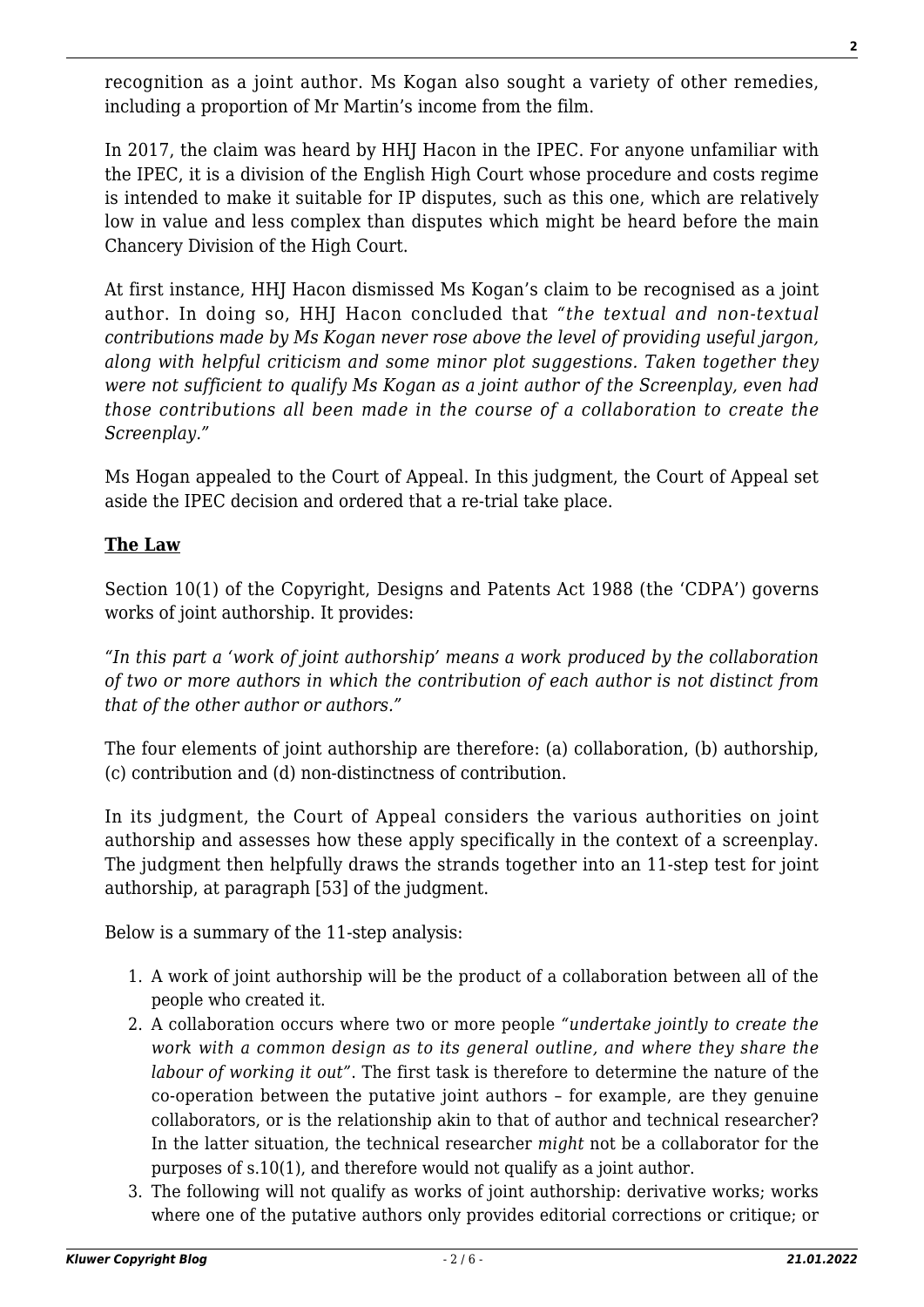recognition as a joint author. Ms Kogan also sought a variety of other remedies, including a proportion of Mr Martin's income from the film.

In 2017, the claim was heard by HHJ Hacon in the IPEC. For anyone unfamiliar with the IPEC, it is a division of the English High Court whose procedure and costs regime is intended to make it suitable for IP disputes, such as this one, which are relatively low in value and less complex than disputes which might be heard before the main Chancery Division of the High Court.

At first instance, HHJ Hacon dismissed Ms Kogan's claim to be recognised as a joint author. In doing so, HHJ Hacon concluded that *"the textual and non-textual contributions made by Ms Kogan never rose above the level of providing useful jargon, along with helpful criticism and some minor plot suggestions. Taken together they were not sufficient to qualify Ms Kogan as a joint author of the Screenplay, even had those contributions all been made in the course of a collaboration to create the Screenplay."*

Ms Hogan appealed to the Court of Appeal. In this judgment, the Court of Appeal set aside the IPEC decision and ordered that a re-trial take place.

#### **The Law**

Section 10(1) of the Copyright, Designs and Patents Act 1988 (the 'CDPA') governs works of joint authorship. It provides:

*"In this part a 'work of joint authorship' means a work produced by the collaboration of two or more authors in which the contribution of each author is not distinct from that of the other author or authors."*

The four elements of joint authorship are therefore: (a) collaboration, (b) authorship, (c) contribution and (d) non-distinctness of contribution.

In its judgment, the Court of Appeal considers the various authorities on joint authorship and assesses how these apply specifically in the context of a screenplay. The judgment then helpfully draws the strands together into an 11-step test for joint authorship, at paragraph [53] of the judgment.

Below is a summary of the 11-step analysis:

- 1. A work of joint authorship will be the product of a collaboration between all of the people who created it.
- 2. A collaboration occurs where two or more people *"undertake jointly to create the work with a common design as to its general outline, and where they share the labour of working it out"*. The first task is therefore to determine the nature of the co-operation between the putative joint authors – for example, are they genuine collaborators, or is the relationship akin to that of author and technical researcher? In the latter situation, the technical researcher *might* not be a collaborator for the purposes of s.10(1), and therefore would not qualify as a joint author.
- 3. The following will not qualify as works of joint authorship: derivative works; works where one of the putative authors only provides editorial corrections or critique; or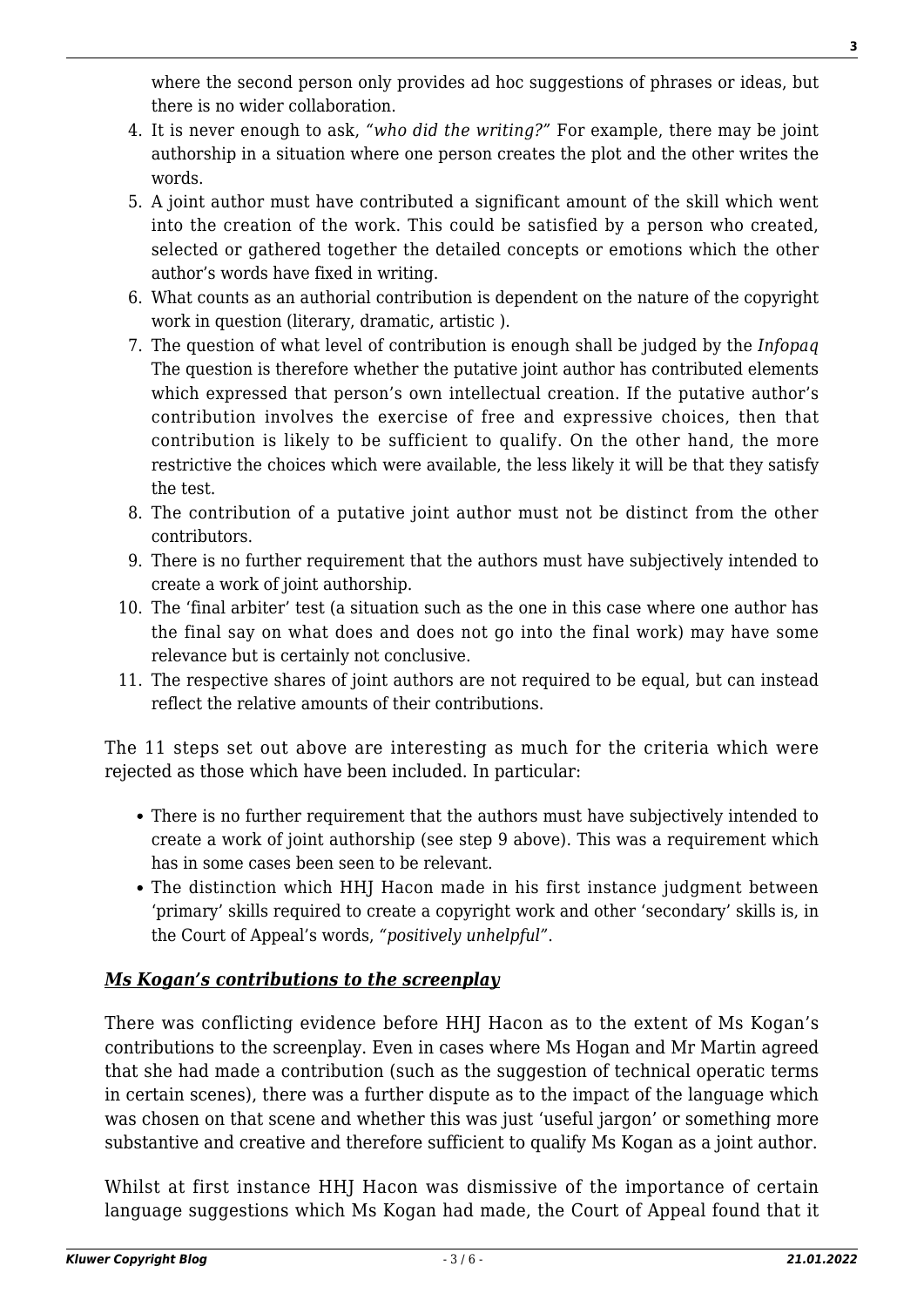where the second person only provides ad hoc suggestions of phrases or ideas, but there is no wider collaboration.

- 4. It is never enough to ask, *"who did the writing?"* For example, there may be joint authorship in a situation where one person creates the plot and the other writes the words.
- 5. A joint author must have contributed a significant amount of the skill which went into the creation of the work. This could be satisfied by a person who created, selected or gathered together the detailed concepts or emotions which the other author's words have fixed in writing.
- 6. What counts as an authorial contribution is dependent on the nature of the copyright work in question (literary, dramatic, artistic ).
- 7. The question of what level of contribution is enough shall be judged by the *Infopaq* The question is therefore whether the putative joint author has contributed elements which expressed that person's own intellectual creation. If the putative author's contribution involves the exercise of free and expressive choices, then that contribution is likely to be sufficient to qualify. On the other hand, the more restrictive the choices which were available, the less likely it will be that they satisfy the test.
- 8. The contribution of a putative joint author must not be distinct from the other contributors.
- 9. There is no further requirement that the authors must have subjectively intended to create a work of joint authorship.
- 10. The 'final arbiter' test (a situation such as the one in this case where one author has the final say on what does and does not go into the final work) may have some relevance but is certainly not conclusive.
- 11. The respective shares of joint authors are not required to be equal, but can instead reflect the relative amounts of their contributions.

The 11 steps set out above are interesting as much for the criteria which were rejected as those which have been included. In particular:

- There is no further requirement that the authors must have subjectively intended to create a work of joint authorship (see step 9 above). This was a requirement which has in some cases been seen to be relevant.
- The distinction which HHJ Hacon made in his first instance judgment between 'primary' skills required to create a copyright work and other 'secondary' skills is, in the Court of Appeal's words, *"positively unhelpful"*.

### *Ms Kogan's contributions to the screenplay*

There was conflicting evidence before HHJ Hacon as to the extent of Ms Kogan's contributions to the screenplay. Even in cases where Ms Hogan and Mr Martin agreed that she had made a contribution (such as the suggestion of technical operatic terms in certain scenes), there was a further dispute as to the impact of the language which was chosen on that scene and whether this was just 'useful jargon' or something more substantive and creative and therefore sufficient to qualify Ms Kogan as a joint author.

Whilst at first instance HHJ Hacon was dismissive of the importance of certain language suggestions which Ms Kogan had made, the Court of Appeal found that it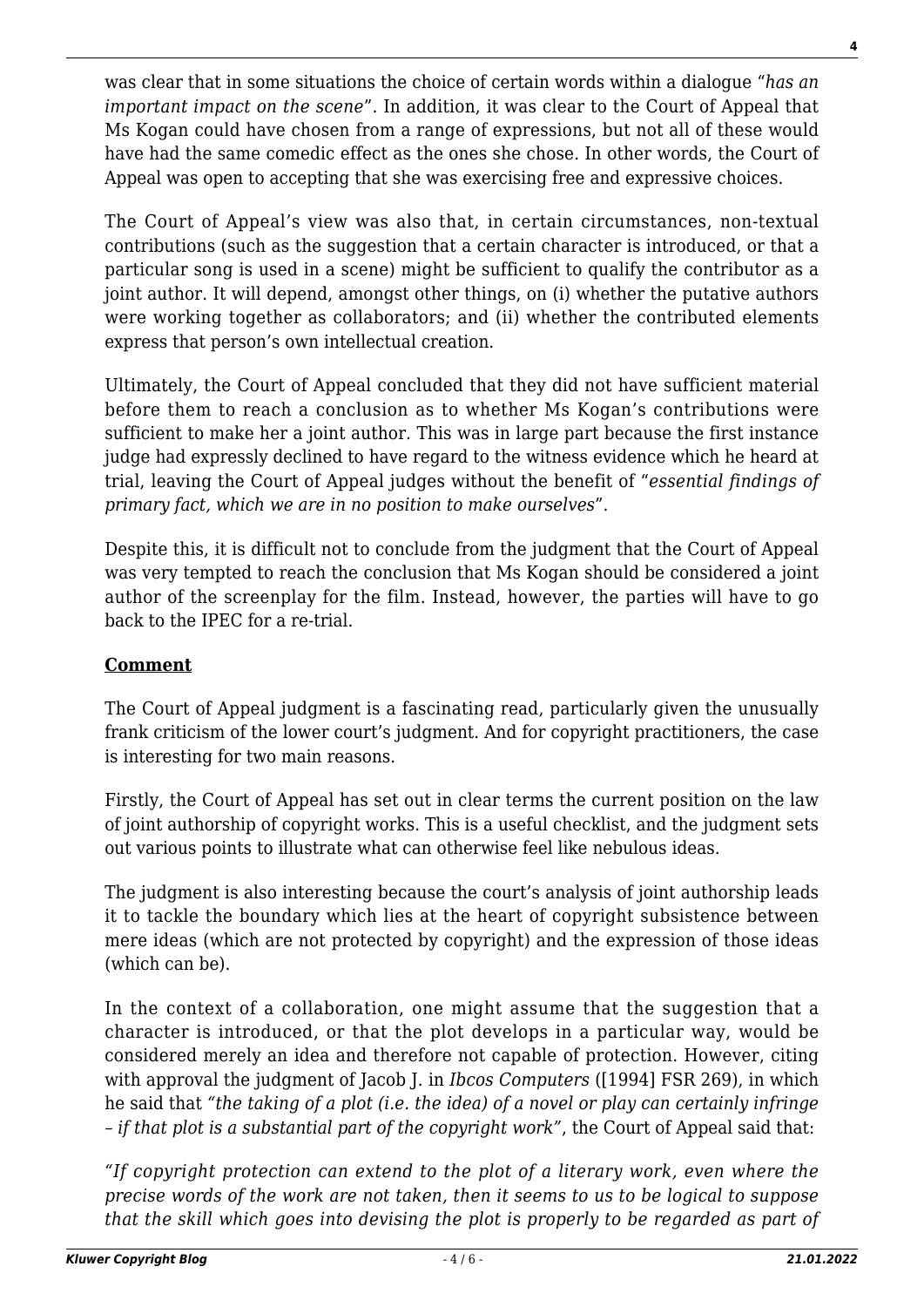was clear that in some situations the choice of certain words within a dialogue "*has an important impact on the scene*". In addition, it was clear to the Court of Appeal that Ms Kogan could have chosen from a range of expressions, but not all of these would have had the same comedic effect as the ones she chose. In other words, the Court of Appeal was open to accepting that she was exercising free and expressive choices.

The Court of Appeal's view was also that, in certain circumstances, non-textual contributions (such as the suggestion that a certain character is introduced, or that a particular song is used in a scene) might be sufficient to qualify the contributor as a joint author. It will depend, amongst other things, on (i) whether the putative authors were working together as collaborators; and (ii) whether the contributed elements express that person's own intellectual creation.

Ultimately, the Court of Appeal concluded that they did not have sufficient material before them to reach a conclusion as to whether Ms Kogan's contributions were sufficient to make her a joint author. This was in large part because the first instance judge had expressly declined to have regard to the witness evidence which he heard at trial, leaving the Court of Appeal judges without the benefit of "*essential findings of primary fact, which we are in no position to make ourselves*".

Despite this, it is difficult not to conclude from the judgment that the Court of Appeal was very tempted to reach the conclusion that Ms Kogan should be considered a joint author of the screenplay for the film. Instead, however, the parties will have to go back to the IPEC for a re-trial.

#### **Comment**

The Court of Appeal judgment is a fascinating read, particularly given the unusually frank criticism of the lower court's judgment. And for copyright practitioners, the case is interesting for two main reasons.

Firstly, the Court of Appeal has set out in clear terms the current position on the law of joint authorship of copyright works. This is a useful checklist, and the judgment sets out various points to illustrate what can otherwise feel like nebulous ideas.

The judgment is also interesting because the court's analysis of joint authorship leads it to tackle the boundary which lies at the heart of copyright subsistence between mere ideas (which are not protected by copyright) and the expression of those ideas (which can be).

In the context of a collaboration, one might assume that the suggestion that a character is introduced, or that the plot develops in a particular way, would be considered merely an idea and therefore not capable of protection. However, citing with approval the judgment of Jacob J. in *Ibcos Computers* ([1994] FSR 269), in which he said that *"the taking of a plot (i.e. the idea) of a novel or play can certainly infringe – if that plot is a substantial part of the copyright work"*, the Court of Appeal said that:

*"If copyright protection can extend to the plot of a literary work, even where the precise words of the work are not taken, then it seems to us to be logical to suppose that the skill which goes into devising the plot is properly to be regarded as part of*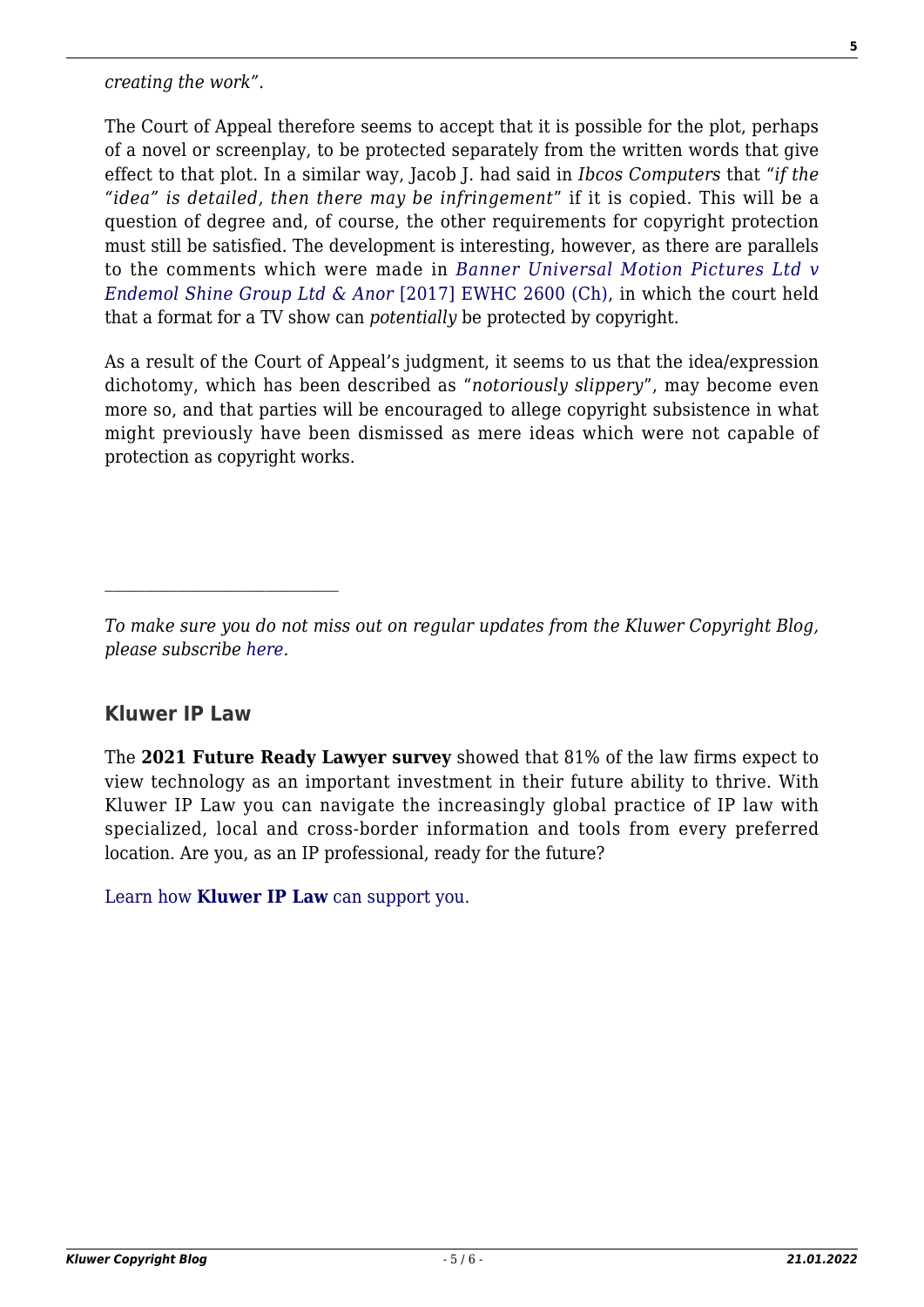*creating the work".*

The Court of Appeal therefore seems to accept that it is possible for the plot, perhaps of a novel or screenplay, to be protected separately from the written words that give effect to that plot. In a similar way, Jacob J. had said in *Ibcos Computers* that "*if the "idea" is detailed, then there may be infringement*" if it is copied. This will be a question of degree and, of course, the other requirements for copyright protection must still be satisfied. The development is interesting, however, as there are parallels to the comments which were made in *[Banner Universal Motion Pictures Ltd v](http://www.bailii.org/ew/cases/EWHC/Ch/2017/2600.html) [Endemol Shine Group Ltd & Anor](http://www.bailii.org/ew/cases/EWHC/Ch/2017/2600.html)* [\[2017\] EWHC 2600 \(Ch\),](http://www.bailii.org/ew/cases/EWHC/Ch/2017/2600.html) in which the court held that a format for a TV show can *potentially* be protected by copyright.

As a result of the Court of Appeal's judgment, it seems to us that the idea/expression dichotomy, which has been described as "*notoriously slippery*", may become even more so, and that parties will be encouraged to allege copyright subsistence in what might previously have been dismissed as mere ideas which were not capable of protection as copyright works.

### **Kluwer IP Law**

The **2021 Future Ready Lawyer survey** showed that 81% of the law firms expect to view technology as an important investment in their future ability to thrive. With Kluwer IP Law you can navigate the increasingly global practice of IP law with specialized, local and cross-border information and tools from every preferred location. Are you, as an IP professional, ready for the future?

[Learn how](https://www.wolterskluwer.com/en/solutions/kluweriplaw?utm_source=copyrightnblog&utm_medium=articleCTA&utm_campaign=article-banner) **[Kluwer IP Law](https://www.wolterskluwer.com/en/solutions/kluweriplaw?utm_source=copyrightnblog&utm_medium=articleCTA&utm_campaign=article-banner)** [can support you.](https://www.wolterskluwer.com/en/solutions/kluweriplaw?utm_source=copyrightnblog&utm_medium=articleCTA&utm_campaign=article-banner)

*To make sure you do not miss out on regular updates from the Kluwer Copyright Blog, please subscribe [here.](http://copyrightblog.kluweriplaw.com/newsletter)*